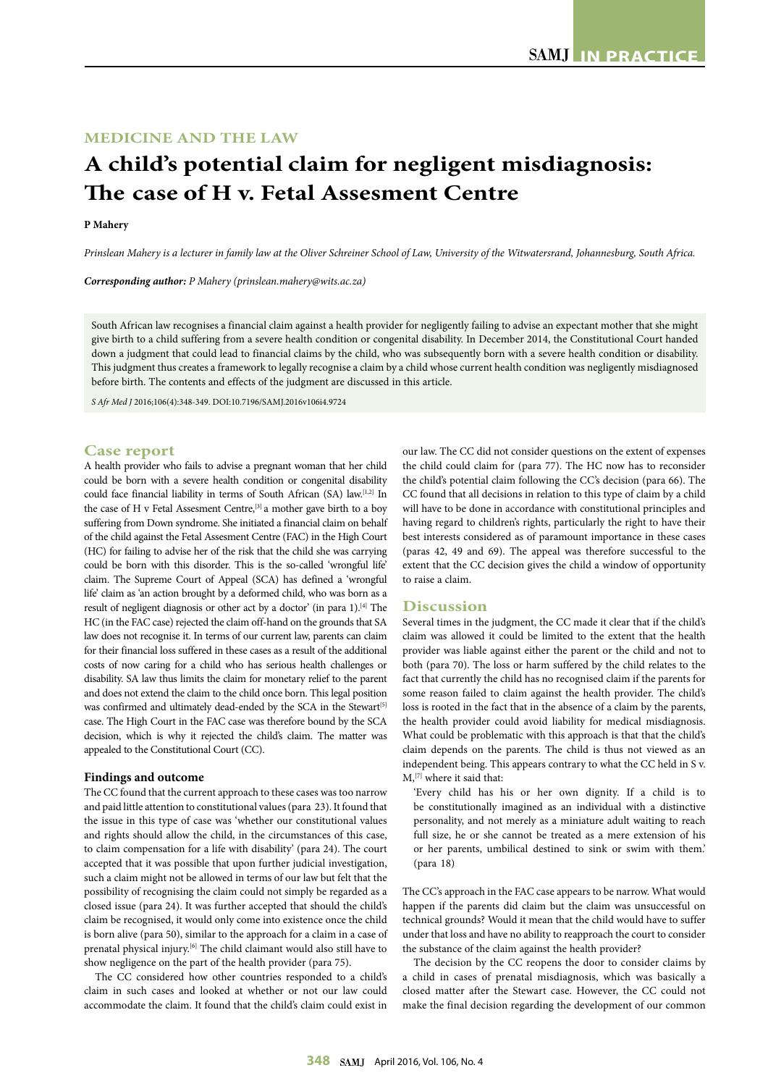## **MEDICINE AND THE LAW**

# **A child's potential claim for negligent misdiagnosis: The case of H v. Fetal Assesment Centre**

### **P Mahery**

*Prinslean Mahery is a lecturer in family law at the Oliver Schreiner School of Law, University of the Witwatersrand, Johannesburg, South Africa.*

*Corresponding author: P Mahery (prinslean.mahery@wits.ac.za)*

South African law recognises a financial claim against a health provider for negligently failing to advise an expectant mother that she might give birth to a child suffering from a severe health condition or congenital disability. In December 2014, the Constitutional Court handed down a judgment that could lead to financial claims by the child, who was subsequently born with a severe health condition or disability. This judgment thus creates a framework to legally recognise a claim by a child whose current health condition was negligently misdiagnosed before birth. The contents and effects of the judgment are discussed in this article.

*S Afr Med J* 2016;106(4):348-349. DOI:10.7196/SAMJ.2016v106i4.9724

#### **Case report**

A health provider who fails to advise a pregnant woman that her child could be born with a severe health condition or congenital disability could face financial liability in terms of South African (SA) law.<sup>[1,2]</sup> In the case of H v Fetal Assesment Centre,<sup>[3]</sup> a mother gave birth to a boy suffering from Down syndrome. She initiated a financial claim on behalf of the child against the Fetal Assesment Centre (FAC) in the High Court (HC) for failing to advise her of the risk that the child she was carrying could be born with this disorder. This is the so-called 'wrongful life' claim. The Supreme Court of Appeal (SCA) has defined a 'wrongful life' claim as 'an action brought by a deformed child, who was born as a result of negligent diagnosis or other act by a doctor' (in para 1).<sup>[4]</sup> The HC (in the FAC case) rejected the claim off-hand on the grounds that SA law does not recognise it. In terms of our current law, parents can claim for their financial loss suffered in these cases as a result of the additional costs of now caring for a child who has serious health challenges or disability. SA law thus limits the claim for monetary relief to the parent and does not extend the claim to the child once born. This legal position was confirmed and ultimately dead-ended by the SCA in the Stewart<sup>[5]</sup> case. The High Court in the FAC case was therefore bound by the SCA decision, which is why it rejected the child's claim. The matter was appealed to the Constitutional Court (CC).

#### **Findings and outcome**

The CC found that the current approach to these cases was too narrow and paid little attention to constitutional values (para 23). It found that the issue in this type of case was 'whether our constitutional values and rights should allow the child, in the circumstances of this case, to claim compensation for a life with disability' (para 24). The court accepted that it was possible that upon further judicial investigation, such a claim might not be allowed in terms of our law but felt that the possibility of recognising the claim could not simply be regarded as a closed issue (para 24). It was further accepted that should the child's claim be recognised, it would only come into existence once the child is born alive (para 50), similar to the approach for a claim in a case of prenatal physical injury.[6] The child claimant would also still have to show negligence on the part of the health provider (para 75).

The CC considered how other countries responded to a child's claim in such cases and looked at whether or not our law could accommodate the claim. It found that the child's claim could exist in our law. The CC did not consider questions on the extent of expenses the child could claim for (para 77). The HC now has to reconsider the child's potential claim following the CC's decision (para 66). The CC found that all decisions in relation to this type of claim by a child will have to be done in accordance with constitutional principles and having regard to children's rights, particularly the right to have their best interests considered as of paramount importance in these cases (paras 42, 49 and 69). The appeal was therefore successful to the extent that the CC decision gives the child a window of opportunity to raise a claim.

#### **Discussion**

Several times in the judgment, the CC made it clear that if the child's claim was allowed it could be limited to the extent that the health provider was liable against either the parent or the child and not to both (para 70). The loss or harm suffered by the child relates to the fact that currently the child has no recognised claim if the parents for some reason failed to claim against the health provider. The child's loss is rooted in the fact that in the absence of a claim by the parents, the health provider could avoid liability for medical misdiagnosis. What could be problematic with this approach is that that the child's claim depends on the parents. The child is thus not viewed as an independent being. This appears contrary to what the CC held in S v.  $M$ ,  $[7]$  where it said that:

'Every child has his or her own dignity. If a child is to be constitutionally imagined as an individual with a distinctive personality, and not merely as a miniature adult waiting to reach full size, he or she cannot be treated as a mere extension of his or her parents, umbilical destined to sink or swim with them.' (para 18)

The CC's approach in the FAC case appears to be narrow. What would happen if the parents did claim but the claim was unsuccessful on technical grounds? Would it mean that the child would have to suffer under that loss and have no ability to reapproach the court to consider the substance of the claim against the health provider?

The decision by the CC reopens the door to consider claims by a child in cases of prenatal misdiagnosis, which was basically a closed matter after the Stewart case. However, the CC could not make the final decision regarding the development of our common